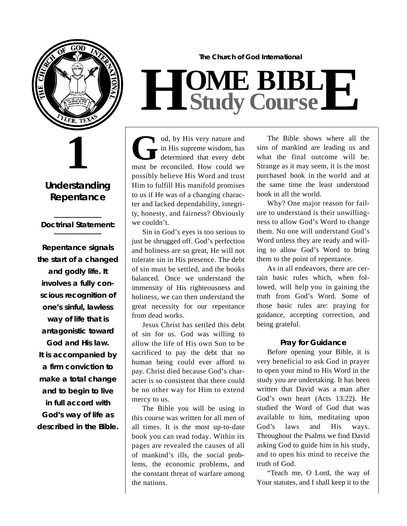

# **1**

#### **Understanding Repentance**

#### **\_\_\_\_\_\_\_\_\_\_\_\_\_** *Doctrinal Statement:* **\_\_\_\_\_\_\_\_\_\_\_\_\_**

**Repentance signals the start of a changed and godly life. It involves a fully conscious recognition of one's sinful, lawless way of life that is antagonistic toward God and His law. It is accompanied by a firm conviction to make a total change and to begin to live in full accord with God's way of life as described in the Bible.**  **The Church of God International**

## $H$  **Study Study Cour BIB s e L E**

od, by His very nature and<br>in His supreme wisdom, has<br>determined that every debt<br>must be reconciled. How could we od, by His very nature and in His supreme wisdom, has determined that every debt possibly believe His Word and trust Him to fulfill His manifold promises to us if He was of a changing character and lacked dependability, integrity, honesty, and fairness? Obviously we couldn't.

Sin in God's eyes is too serious to just be shrugged off. God's perfection and holiness are so great, He will not tolerate sin in His presence. The debt of sin must be settled, and the books balanced. Once we understand the immensity of His righteousness and holiness, we can then understand the great necessity for our repentance from dead works.

Jesus Christ has settled this debt of sin for us. God was willing to allow the life of His own Son to be sacrificed to pay the debt that no human being could ever afford to pay. Christ died because God's character is so consistent that there could be no other way for Him to extend mercy to us.

The Bible you will be using in this course was written for all men of all times. It is the most up-to-date book you can read today. Within its pages are revealed the causes of all of mankind's ills, the social problems, the economic problems, and the constant threat of warfare among the nations.

The Bible shows where all the sins of mankind are leading us and what the final outcome will be. Strange as it may seem, it is the most purchased book in the world and at the same time the least understood book in all the world.

Why? One major reason for failure to understand is their unwillingness to allow God's Word to change them. No one will understand God's Word unless they are ready and willing to allow God's Word to bring them to the point of repentance.

As in all endeavors, there are certain basic rules which, when followed, will help you in gaining the truth from God's Word. Some of those basic rules are: praying for guidance, accepting correction, and being grateful.

#### **Pray for Guidance**

Before opening your Bible, it is very beneficial to ask God in prayer to open your mind to His Word in the study you are undertaking. It has been written that David was a man after God's own heart (Acts 13:22). He studied the Word of God that was available to him, meditating upon God's laws and His ways. Throughout the Psalms we find David asking God to guide him in his study, and to open his mind to receive the truth of God.

" Teach me, O Lord, the way of Your statutes, and I shall keep it to the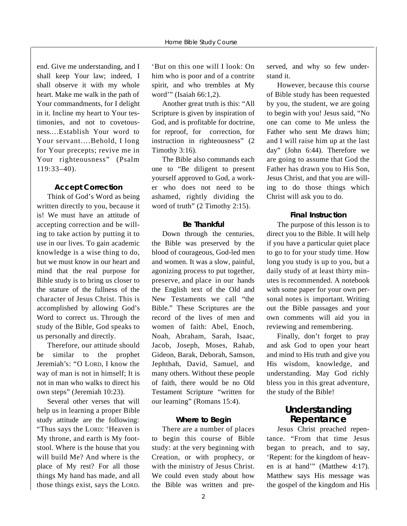end. Give me understanding, and I shall keep Your law; indeed, I shall observe it with my whole heart. Make me walk in the path of Your commandments, for I delight in it. Incline my heart to Your testimonies, and not to covetousness....Establish Your word to Your servant….Behold, I long for Your precepts; revive me in Your righteousness" (Psalm  $119:33 - 40$ .

#### **Accept Correction**

Think of God's Word as being written directly to you, because it is! We must have an attitude of accepting correction and be willing to take action by putting it to use in our lives. To gain academic knowledge is a wise thing to do, but we must know in our heart and mind that the real purpose for Bible study is to bring us closer to the stature of the fullness of the character of Jesus Christ. This is accomplished by allowing God's Word to correct us. Through the study of the Bible, God speaks to us personally and directly.

Therefore, our attitude should be similar to the prophet Jeremiah's: "O LORD, I know the way of man is not in himself; It is not in man who walks to direct his own steps" (Jeremiah 10:23).

Several other verses that will help us in learning a proper Bible study attitude are the following: "Thus says the LORD: 'Heaven is My throne, and earth is My footstool. Where is the house that you will build Me? And where is the place of My rest? For all those things My hand has made, and all those things exist, says the LORD. 'But on this one will I look: On him who is poor and of a contrite spirit, and who trembles at My word'" (Isaiah 66:1,2).

Another great truth is this: "All Scripture is given by inspiration of God, and is profitable for doctrine, for reproof, for correction, for instruction in righteousness" (2 Timothy 3:16).

The Bible also commands each one to "Be diligent to present yourself approved to God, a worker who does not need to be ashamed, rightly dividing the word of truth" (2 Timothy 2:15).

#### **Be Thankful**

Down through the centuries, the Bible was preserved by the blood of courageous, God-led men and women. It was a slow, painful, agonizing process to put together, preserve, and place in our hands the English text of the Old and New Testaments we call "the Bible." These Scriptures are the record of the lives of men and women of faith: Abel, Enoch, Noah, Abraham, Sarah, Isaac, Jacob, Joseph, Moses, Rahab, Gideon, Barak, Deborah, Samson, Jephthah, David, Samuel, and many others. Without these people of faith, there would be no Old Testament Scripture "written for our learning" (Romans 15:4).

#### **Where to Begin**

There are a number of places to begin this course of Bible study: at the very beginning with Creation, or with prophecy, or with the ministry of Jesus Christ. We could even study about how the Bible was written and preserved, and why so few understand it.

However, because this course of Bible study has been requested by you, the student, we are going to begin with you! Jesus said, "No one can come to Me unless the Father who sent Me draws him; and I will raise him up at the last day" (John 6:44). Therefore we are going to assume that God the Father has drawn you to His Son, Jesus Christ, and that you are willing to do those things which Christ will ask you to do.

#### **Final Instruction**

The purpose of this lesson is to direct you to the Bible. It will help if you have a particular quiet place to go to for your study time. How long you study is up to you, but a daily study of at least thirty minutes is recommended. A notebook with some paper for your own personal notes is important. Writing out the Bible passages and your own comments will aid you in reviewing and remembering.

Finally, don't forget to pray and ask God to open your heart and mind to His truth and give you His wisdom, knowledge, and understanding. May God richly bless you in this great adventure, the study of the Bible!

#### **Understanding Repentance**

Jesus Christ preached repentance. "From that time Jesus began to preach, and to say, 'Repent: for the kingdom of heaven is at hand'" (Matthew 4:17). Matthew says His message was the gospel of the kingdom and His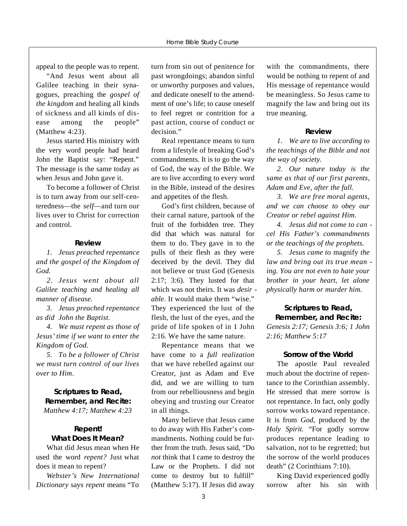appeal to the people was to repent.

"And Jesus went about all Galilee teaching in their synagogues, preaching the *gospel of the kingdom* and healing all kinds of sickness and all kinds of disease among the people" (Matthew 4:23).

Jesus started His ministry with the very word people had heard John the Baptist say: "Repent." The message is the same today as when Jesus and John gave it.

To become a follower of Christ is to turn away from our self-centeredness—the *self*—and turn our lives over to Christ for correction and control.

#### **R e v i e w**

*1. Jesus preached repentance and the gospel of the Kingdom of God.* 

*2 . Jesus went about all Galilee teaching and healing all manner of disease.*

*3. Jesus preached repentance as did John the Baptist.* 

*4 . We must repent as those of Jesus' time if we want to enter the Kingdom of God.*

*5 . To be a follower of Christ we must turn contro l of our lives over to Him*.

#### **Scriptures to Read, Remember, and Recite:** *Matthew 4:17; Matthew 4:23*

#### *R e p e n t !* **What Does It Mean?**

What did Jesus mean when He used the word *repent?* Just what does it mean to repent?

*Webster's New International Dictionary* says *repent* means "To

turn from sin out of penitence for past wrongdoings; abandon sinful or unworthy purposes and values, and dedicate oneself to the amendment of one's life; to cause oneself to feel regret or contrition for a past action, course of conduct or decision."

Real repentance means to turn from a lifestyle of breaking God's commandments. It is to go the way of God, the way of the Bible. We are to live according to every word in the Bible, instead of the desires and appetites of the flesh.

God's first children, because of their carnal nature, partook of the fruit of the forbidden tree. They did that which was natural for them to do. They gave in to the pulls of their flesh as they were deceived by the devil. They did not believe or trust God (Genesis 2:17; 3:6). They lusted for that which was not theirs. It was *desir able*. It would make them "wise." They experienced the lust of the flesh, the lust of the eyes, and the pride of life spoken of in 1 John 2:16. We have the same nature.

Repentance means that we have come to a *full realization* that we have rebelled against our Creator, just as Adam and Eve did, and we are willing to turn from our rebelliousness and begin obeying and trusting our Creator in all things.

Many believe that Jesus came to do away with His Father's commandments. Nothing could be further from the truth. Jesus said, "Do *not* think that I came to destroy the Law or the Prophets. I did not come to destroy but to fulfill" (Matthew 5:17). If Jesus did away with the commandments, there would be nothing to repent of and His message of repentance would be meaningless. So Jesus came to magnify the law and bring out its true meaning.

#### **Review**

*1 . We are to live according to the teachings of the Bible and not the way of society.*

*2 . Our nature today is the same as that of our first parents, Adam and Eve, after the fall.*

*3 . We are free moral agents, and we can choose to obey our C reator or rebel against Him.*

*4 . Jesus did not come to can cel His Father's commandments <u>or the teachings of the prophets.</u>* 

*5. Jesus came to magnify the law and bring out its true mean ing. You are not even to hate your b rother in your heart, let alone physically harm or murder him.* 

#### **Scriptures to Read, Remember, and Recite:** *Genesis 2:17; Genesis 3:6; 1 John*

*2:16; Matthew 5:17*

#### **Sorrow of the World**

The apostle Paul revealed much about the doctrine of repentance to the Corinthian assembly. He stressed that mere sorrow is not repentance. In fact, only godly sorrow works toward repentance. It is from *God*, produced by the *Holy Spirit.* "For godly sorrow produces repentance leading to salvation, not to be regretted; but the sorrow of the world produces death" (2 Corinthians 7:10).

King David experienced godly sorrow after his sin with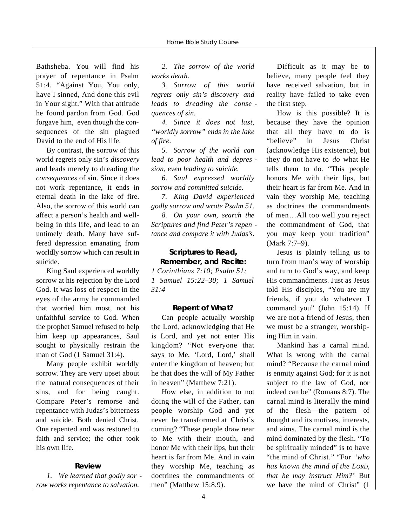Bathsheba. You will find his prayer of repentance in Psalm 51:4. "Against You, You only, have I sinned, And done this evil in Your sight." With that attitude he found pardon from God. God forgave him, even though the consequences of the sin plagued David to the end of His life.

By contrast, the sorrow of this world regrets only sin's *discovery* and leads merely to dreading the *consequences* of sin. Since it does not work repentance, it ends in eternal death in the lake of fire. Also, the sorrow of this world can a ffect a person's health and wellbeing in this life, and lead to an untimely death. Many have suffered depression emanating from worldly sorrow which can result in suicide.

King Saul experienced worldly sorrow at his rejection by the Lord God. It was loss of respect in the eyes of the army he commanded that worried him most, not his unfaithful service to God. When the prophet Samuel refused to help him keep up appearances, Saul sought to physically restrain the man of God (1 Samuel 31:4).

Many people exhibit worldly sorrow. They are very upset about the natural consequences of their sins, and for being caught. Compare Peter's remorse and repentance with Judas's bitterness and suicide. Both denied Christ. One repented and was restored to faith and service; the other took his own life.

#### **R e v i e w**

*1 . We learned that godly sor row works repentance to salvation.*

2. The sorrow of the world *works death.*

3. Sorrow of this world *regrets only sin's discovery and leads to dreading the conse quences of sin.*

*4 . Since it does not last, "worldly sorrow" ends in the lake of fire .*

*5 . S o rrow of the world can lead to poor health and depres sion, even leading to suicide.*

*6 . Saul expressed worldly s o rrow and committed suicide.*

*7 . King David experienced godly sorrow and wrote Psalm 51.* 

*8 . On your own, search the Scriptures and find Peter's repen tance and compare it with Judas's .*

#### **Scriptures to Read, Remember, and Recite:**

*1 Corinthians 7:10; Psalm 51; 1 Samuel 15:22–30; 1 Samuel 3 1 : 4*

#### **Repent of What?**

Can people actually worship the Lord, acknowledging that He is Lord, and yet not enter His kingdom? "Not everyone that says to Me, 'Lord, Lord,' shall enter the kingdom of heaven; but he that does the will of My Father in heaven" (Matthew 7:21).

How else, in addition to not doing the will of the Father, can people worship God and yet never be transformed at Christ's coming? "These people draw near to Me with their mouth, and honor Me with their lips, but their heart is far from Me. And in vain they worship Me, teaching as doctrines the commandments of men" (Matthew 15:8,9).

Difficult as it may be to believe, many people feel they have received salvation, but in reality have failed to take even the first step.

How is this possible? It is because they have the opinion that all they have to do is "believe" in Jesus Christ (acknowledge His existence), but they do not have to *do* what He tells them to do. "This people honors Me with their lips, but their heart is far from Me. And in vain they worship Me, teaching as doctrines the commandments of men…All too well you reject the commandment of God, that you may keep your tradition" (Mark 7:7–9).

Jesus is plainly telling us to turn from man's way of worship and turn to God's way, and keep His commandments. Just as Jesus told His disciples, "You are my friends, if you do whatever I command you" (John 15:14). If we are not a friend of Jesus, then we must be a stranger, worshiping Him in vain.

Mankind has a carnal mind. What is wrong with the carnal mind? "Because the carnal mind is enmity against God; for it is not subject to the law of God, nor indeed can be" (Romans 8:7). The carnal mind is literally the mind of the flesh—the pattern of thought and its motives, interests, and aims. The carnal mind is the mind dominated by the flesh. "To be spiritually minded" is to have "the mind of Christ." "For 'who *has known the mind of the LORD, that he may instruct Him?'* But we have the mind of Christ" (1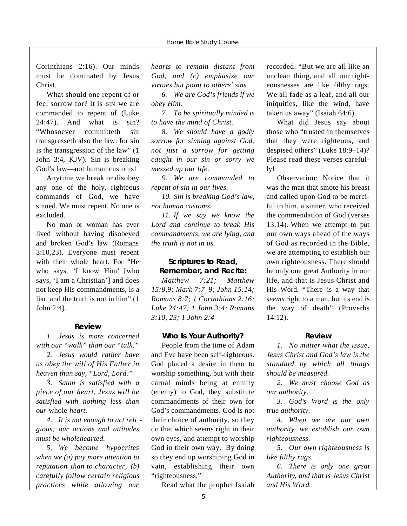Corinthians 2:16). Our minds must be dominated by Jesus Christ.

What should one repent of or feel sorrow for? It is SIN we are commanded to repent of (Luke 24:47). And what is sin? "Whosoever committeth sin transgresseth also the law: for sin is the transgression of the law" (1 John 3:4, KJV). Sin is breaking God's law—not human customs!

Anytime we break or disobey any one of the holy, righteous commands of God, we have sinned. We must repent. No one is excluded.

No man or woman has ever lived without having disobeyed and broken God's law (Romans 3:10,23). Everyone must repent with their whole heart. For "He who says, 'I know Him' [who says, 'I am a Christian'] and does not keep His commandments, is a liar, and the truth is not in him"  $(1)$ John 2:4).

#### **R e v i e w**

*1 . Jesus is more concerned with our "walk" than our "talk."*

*2 . Jesus would rather have us obey the will of His Father in heaven than say, "Lord, Lord."* 

*3 . Satan is satisfied with a piece of our heart. Jesus will be satisfied with nothing less than our* whole *heart*.

*4. It is not enough to act reli gious; our actions and attitudes must be wholehearted.* 

*5 . We become hypocrites when we (a) pay more attention to reputation than to character, (b) carefully follow certain religious practices while allowing our*

*hearts to remain distant from God, and (c) emphasize our virtues but point to others' sins.* 

*6 . We are God's friends if we obey Him.*

*7 . To be spiritually minded is to have the mind of Christ.*

*8 . We should have a godly s o rrow for sinning against God, not just a sorrow for getting caught in our sin or sorry we messed up our life.*

*9 . We are commanded to repent of sin in our lives.* 

*1 0 . Sin is breaking God's law, not human customs.*

*11 . If we say we know the* Lord and continue to break His *commandments, we are lying, and the truth is not in us.*

#### **Scriptures to Read, Remember, and Recite:**

*Matthew 7:21; Matthew 15:8,9; Mark 7:7–9; John 15:14; Romans 8:7; 1 Corinthians 2:16; Luke 24:47; 1 John 3:4; Romans 3:10, 23; 1 John 2:4*

#### **Who Is Your Authority?**

People from the time of Adam and Eve have been self-righteous. God placed a desire in them to worship something, but with their carnal minds being at enmity (enemy) to God, they substitute commandments of their own for God's commandments. God is not their choice of authority, so they do that which seems right in their own eyes, and attempt to worship God in their own way. By doing so they end up worshiping God in vain, establishing their own "righteousness."

Read what the prophet Isaiah

recorded: "But we are all like an unclean thing, and all our righteousnesses are like filthy rags; We all fade as a leaf, and all our iniquities, like the wind, have taken us away" (Isaiah 64:6).

What did Jesus say about those who "trusted in themselves that they were righteous, and despised others" (Luke 18:9–14)? Please read these verses careful- $1v!$ 

Observation: Notice that it was the man that smote his breast and called upon God to be merciful to him, a sinner, who received the commendation of God (verses 13,14). When we attempt to put our own ways ahead of the ways of God as recorded in the Bible, we are attempting to establish our own righteousness. There should be only one great Authority in our life, and that is Jesus Christ and His Word. "There is a way that *seems* right to a man, but its end is the way of death" (Proverbs  $14:12$ .

#### **R e v i e w**

*1 . No matter what the issue, Jesus Christ and God's law is the standard by which all things* should be measured.

*2 . We must choose God as our authority.*

*3 . G o d 's Wo rd is the only true authority.* 

*4 . When we are our own authority, we establish our own*  $right \neq 0$ *i*shteousness.

*5 . Our own righteousness is like filthy rags.*

**6.** *There is only one great* Authority, and that is Jesus Christ *and His Word.*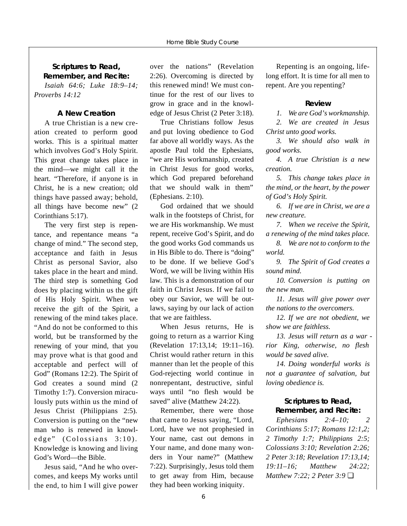**Scriptures to Read, Remember, and Recite:** 

*Isaiah 64:6; Luke 18:9–14; P roverbs 14:12*

#### **A New Creation**

A true Christian is a new creation created to perform good works. This is a spiritual matter which involves God's Holy Spirit. This great change takes place in the mind—we might call it the heart. "Therefore, if anyone is in Christ, he is a new creation; old things have passed away; behold, all things have become new" (2 Corinthians 5:17).

The very first step is repentance, and repentance means "a change of mind." The second step, acceptance and faith in Jesus Christ as personal Savior, also takes place in the heart and mind. The third step is something God does by placing within us the gift of His Holy Spirit. When we receive the gift of the Spirit, a renewing of the mind takes place. "And do not be conformed to this world, but be transformed by the renewing of your mind, that you may prove what is that good and acceptable and perfect will of God" (Romans 12:2). The Spirit of God creates a sound mind (2 Timothy 1:7). Conversion miraculously puts within us the mind of Jesus Christ (Philippians 2:5). Conversion is putting on the "new man who is renewed in knowledge" (Colossians 3:10). Knowledge is knowing and living God's Word—the Bible.

Jesus said, "And he who overcomes, and keeps My works until the end, to him I will give power

over the nations" (Revelation 2:26). Overcoming is directed by this renewed mind! We must continue for the rest of our lives to grow in grace and in the knowledge of Jesus Christ (2 Peter 3:18).

True Christians follow Jesus and put loving obedience to God far above all worldly ways. As the apostle Paul told the Ephesians, "we are His workmanship, created in Christ Jesus for good works, which God prepared beforehand that we should walk in them" (Ephesians. 2:10).

God ordained that we should walk in the footsteps of Christ, for we are His workmanship. We must repent, receive God's Spirit, and do the good works God commands us in His Bible to do. There is "doing" to be done. If we believe God's Word, we will be living within His law. This is a demonstration of our faith in Christ Jesus. If we fail to obey our Savior, we will be outlaws, saying by our lack of action that we are faithless.

When Jesus returns, He is going to return as a warrior King  $(Revelation 17:13.14; 19:11-16)$ . Christ would rather return in this manner than let the people of this God-rejecting world continue in nonrepentant, destructive, sinful ways until "no flesh would be saved" alive (Matthew 24:22).

Remember, there were those that came to Jesus saying, "Lord, Lord, have we not prophesied in Your name, cast out demons in Your name, and done many wonders in Your name?" (Matthew 7:22). Surprisingly, Jesus told them to get away from Him, because they had been working iniquity.

Repenting is an ongoing, lifelong effort. It is time for all men to repent. Are you repenting?

#### **R e v i e w**

*1. We are God's workmanship.*

*2. We are created in Jesus Christ unto good works.*

*3. We should also walk in good works.*

*4. A true Christian is a new creation.*

*5. This change takes place in the mind, or the heart, by the power of God's Holy Spirit.*

*6. If we are in Christ, we are a new creature.*

*7. When we receive the Spirit, a renewing of the mind takes place.*

*8. We are not to conform to the world.*

*9. The Spirit of God creates a sound mind.*

*10. Conversion is putting on the new man.*

*11. Jesus will give power over the nations to the overcomers.*

*12. If we are not obedient, we show we are faithless.*

*13. Jesus will return as a war rior King, otherwise, no flesh would be saved alive.*

*14. Doing wonderful works is not a guarantee of salvation, but loving obedience is.*

#### **Scriptures to Read, Remember, and Recite:**

*Ephesians 2:4–10; 2 Corinthians 5:17; Romans 12:1,2; 2 Timothy 1:7; Philippians 2:5; Colossians 3:10; Revelation 2:26; 2 Peter 3:18; Revelation 17:13,14; 1 9 : 11–16; Matthew 24:22; Matthew 7:22; 2 Peter 3:9* ❏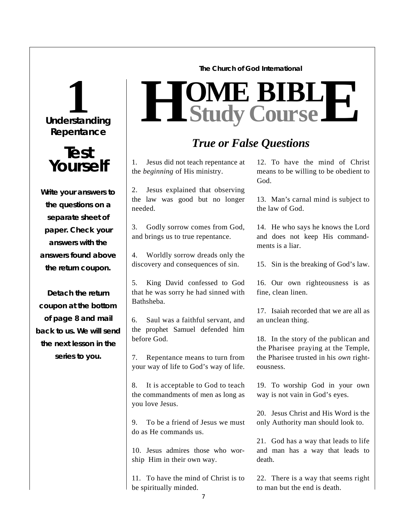# **Understanding 1 Repentance**

# **Test Yourself**

**Write your answers to the questions on a separate sheet of paper. Check** *your* **answers with the answers found above the return coupon.**

**Detach the return coupon at the bottom of page 8 and mail back to us. We will send the next lesson in the series to you.**

#### **The Church of God International**

## $H$  **Study Study Cour BIB s e L E**

# *True or False Questions*

1. Jesus did not teach repentance at the *beginning* of His ministry.

2. Jesus explained that observing the law was good but no longer needed.

3. Godly sorrow comes from God, and brings us to true repentance.

4. Worldly sorrow dreads only the discovery and consequences of sin.

5 . King David confessed to God that he was sorry he had sinned with Bathsheba

6 . Saul was a faithful servant, and the prophet Samuel defended him before God.

7. Repentance means to turn from your way of life to God's way of life.

8. It is acceptable to God to teach the commandments of men as long as you love Jesus.

9 . To be a friend of Jesus we must do as He commands us.

10. Jesus admires those who worship Him in their own way.

11. To have the mind of Christ is to be spiritually minded.

12. To have the mind of Christ means to be willing to be obedient to God.

13. Man's carnal mind is subject to the law of God.

14. He who says he knows the Lord and does not keep His commandments is a liar.

15. Sin is the breaking of God's law.

16. Our own righteousness is as fine, clean linen.

17. Isaiah recorded that we are all as an unclean thing.

18. In the story of the publican and the Pharisee praying at the Temple, the Pharisee trusted in his *own* righteousness.

19. To worship God in your own way is not vain in God's eyes.

20. Jesus Christ and His Word is the only Authority man should look to.

21. God has a way that leads to life and man has a way that leads to death.

22. There is a way that seems right to man but the end is death.